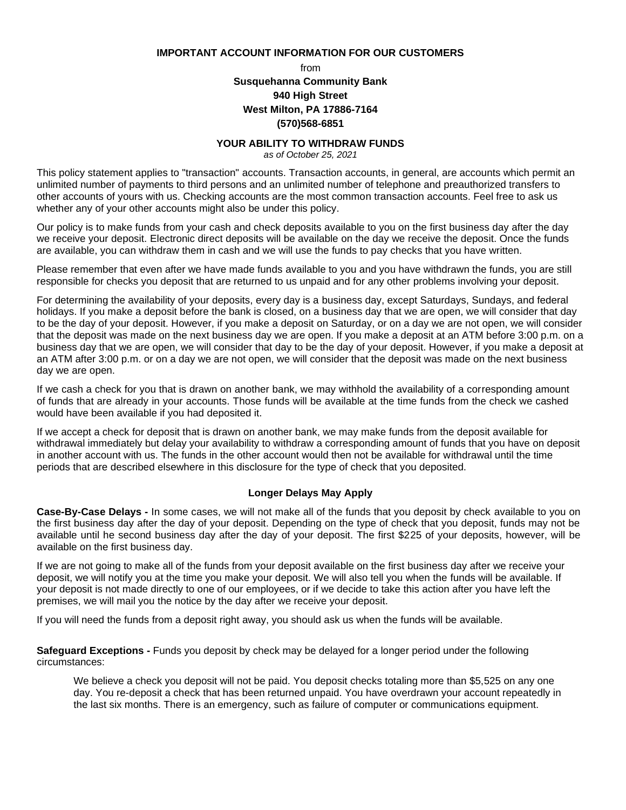**IMPORTANT ACCOUNT INFORMATION FOR OUR CUSTOMERS**

from

# **Susquehanna Community Bank 940 High Street West Milton, PA 17886-7164 (570)568-6851**

#### **YOUR ABILITY TO WITHDRAW FUNDS**

*as of October 25, 2021*

This policy statement applies to "transaction" accounts. Transaction accounts, in general, are accounts which permit an unlimited number of payments to third persons and an unlimited number of telephone and preauthorized transfers to other accounts of yours with us. Checking accounts are the most common transaction accounts. Feel free to ask us whether any of your other accounts might also be under this policy.

Our policy is to make funds from your cash and check deposits available to you on the first business day after the day we receive your deposit. Electronic direct deposits will be available on the day we receive the deposit. Once the funds are available, you can withdraw them in cash and we will use the funds to pay checks that you have written.

Please remember that even after we have made funds available to you and you have withdrawn the funds, you are still responsible for checks you deposit that are returned to us unpaid and for any other problems involving your deposit.

For determining the availability of your deposits, every day is a business day, except Saturdays, Sundays, and federal holidays. If you make a deposit before the bank is closed, on a business day that we are open, we will consider that day to be the day of your deposit. However, if you make a deposit on Saturday, or on a day we are not open, we will consider that the deposit was made on the next business day we are open. If you make a deposit at an ATM before 3:00 p.m. on a business day that we are open, we will consider that day to be the day of your deposit. However, if you make a deposit at an ATM after 3:00 p.m. or on a day we are not open, we will consider that the deposit was made on the next business day we are open.

If we cash a check for you that is drawn on another bank, we may withhold the availability of a corresponding amount of funds that are already in your accounts. Those funds will be available at the time funds from the check we cashed would have been available if you had deposited it.

If we accept a check for deposit that is drawn on another bank, we may make funds from the deposit available for withdrawal immediately but delay your availability to withdraw a corresponding amount of funds that you have on deposit in another account with us. The funds in the other account would then not be available for withdrawal until the time periods that are described elsewhere in this disclosure for the type of check that you deposited.

## **Longer Delays May Apply**

**Case-By-Case Delays -** In some cases, we will not make all of the funds that you deposit by check available to you on the first business day after the day of your deposit. Depending on the type of check that you deposit, funds may not be available until he second business day after the day of your deposit. The first \$225 of your deposits, however, will be available on the first business day.

If we are not going to make all of the funds from your deposit available on the first business day after we receive your deposit, we will notify you at the time you make your deposit. We will also tell you when the funds will be available. If your deposit is not made directly to one of our employees, or if we decide to take this action after you have left the premises, we will mail you the notice by the day after we receive your deposit.

If you will need the funds from a deposit right away, you should ask us when the funds will be available.

**Safeguard Exceptions -** Funds you deposit by check may be delayed for a longer period under the following circumstances:

We believe a check you deposit will not be paid. You deposit checks totaling more than \$5,525 on any one day. You re-deposit a check that has been returned unpaid. You have overdrawn your account repeatedly in the last six months. There is an emergency, such as failure of computer or communications equipment.